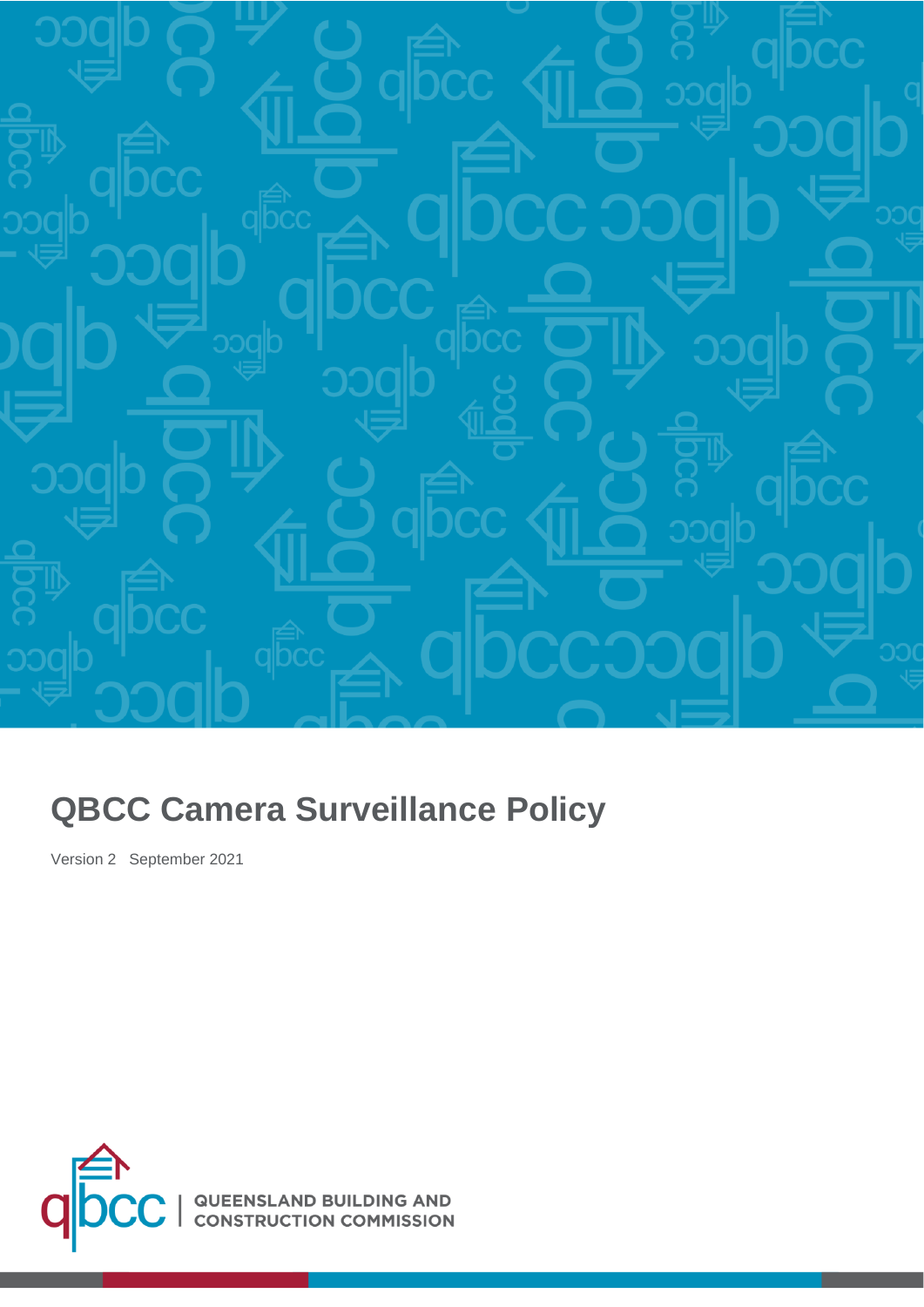

# **QBCC Camera Surveillance Policy**

Version 2 September 2021

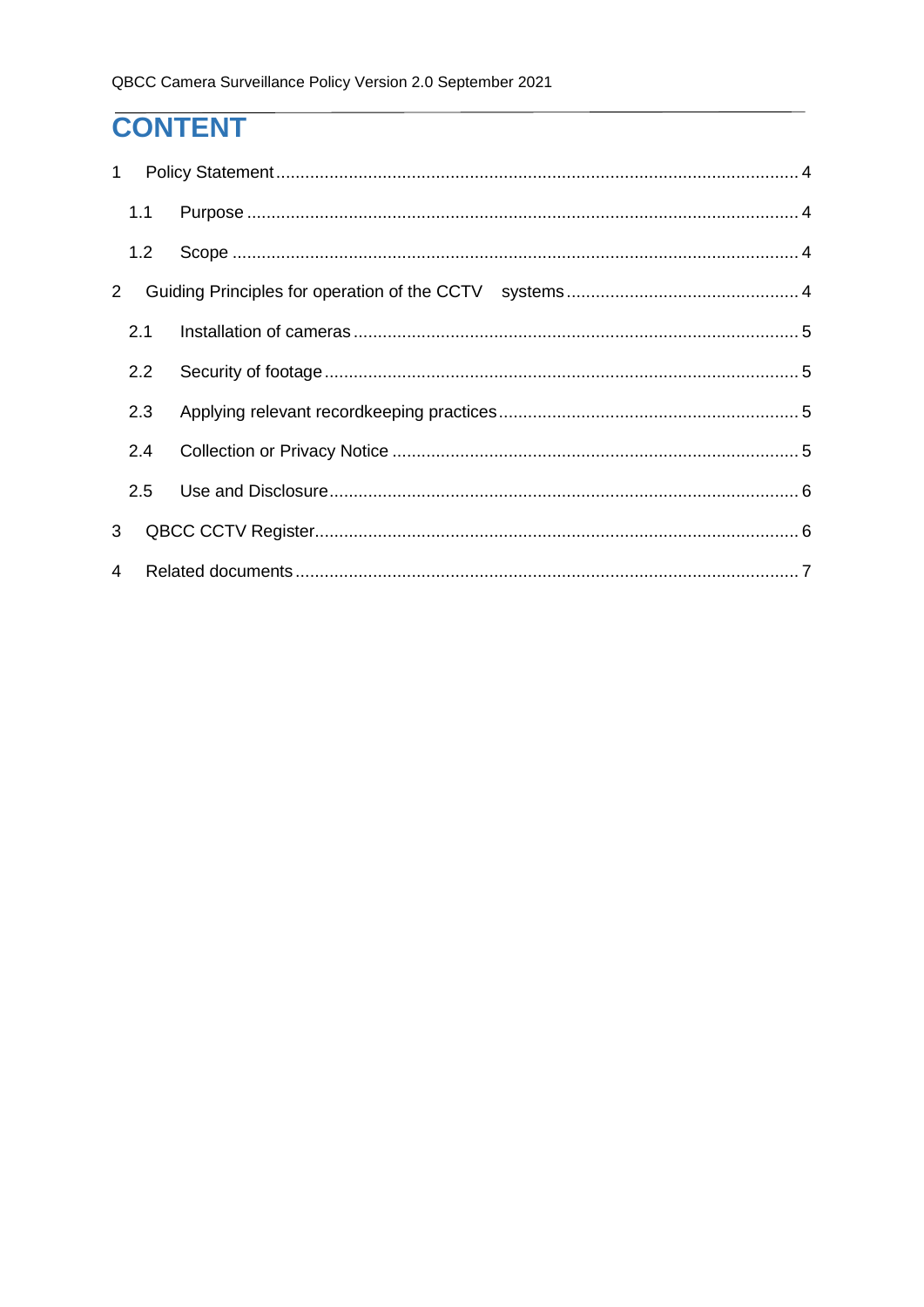# **CONTENT**

| $\mathbf{1}$   |     |  |  |
|----------------|-----|--|--|
|                | 1.1 |  |  |
|                | 1.2 |  |  |
| $\overline{2}$ |     |  |  |
|                | 2.1 |  |  |
|                | 2.2 |  |  |
|                | 2.3 |  |  |
|                | 2.4 |  |  |
|                | 2.5 |  |  |
| 3              |     |  |  |
| 4              |     |  |  |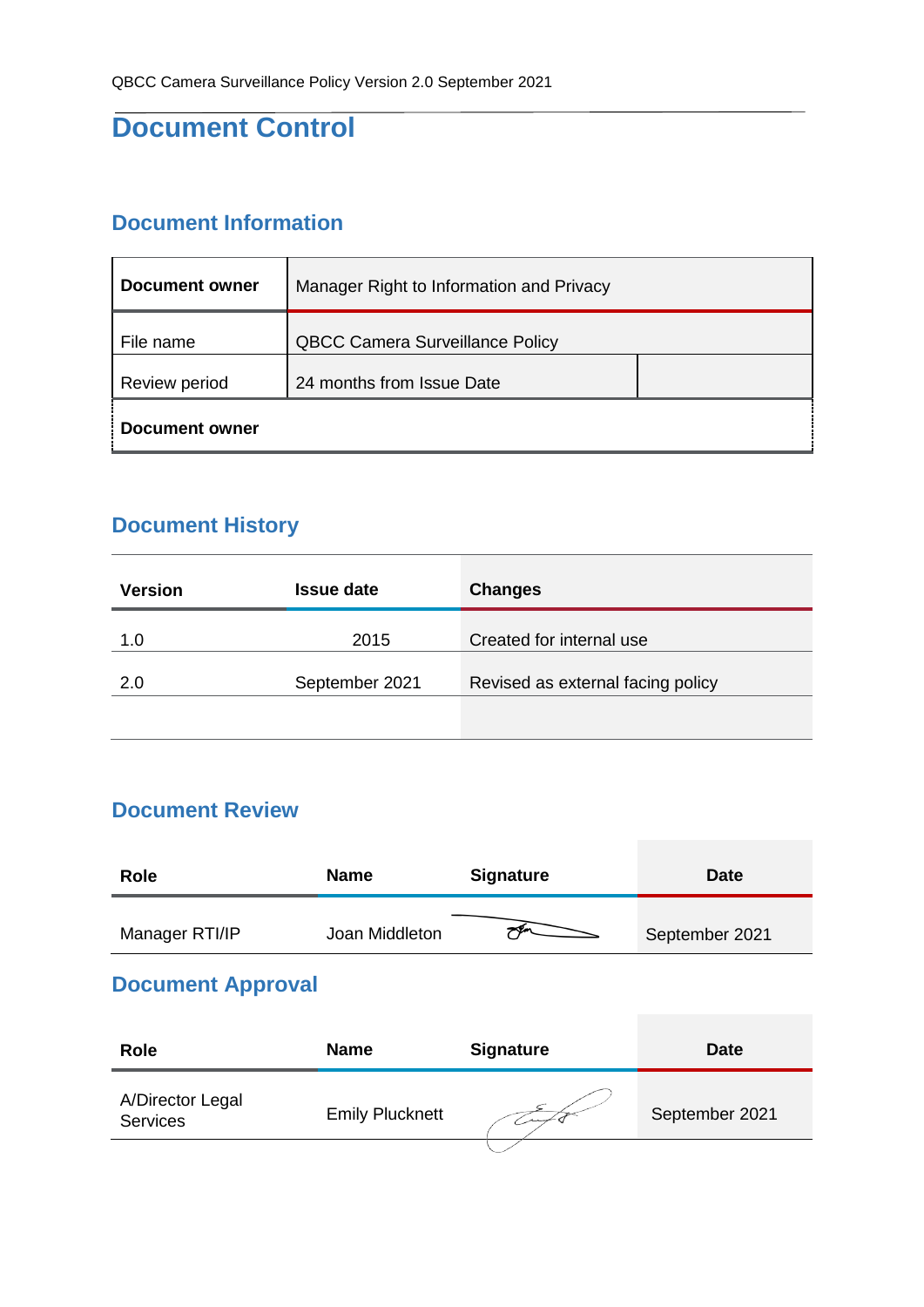## **Document Control**

#### **Document Information**

| Document owner | Manager Right to Information and Privacy |  |  |  |  |
|----------------|------------------------------------------|--|--|--|--|
| File name      | <b>QBCC Camera Surveillance Policy</b>   |  |  |  |  |
| Review period  | 24 months from Issue Date                |  |  |  |  |
| Document owner |                                          |  |  |  |  |

### **Document History**

| <b>Version</b> | <b>Issue date</b> | <b>Changes</b>                    |
|----------------|-------------------|-----------------------------------|
| 1.0            | 2015              | Created for internal use          |
| 2.0            | September 2021    | Revised as external facing policy |
|                |                   |                                   |

### **Document Review**

| <b>Role</b>    | <b>Name</b>    | <b>Signature</b> | <b>Date</b>    |
|----------------|----------------|------------------|----------------|
| Manager RTI/IP | Joan Middleton |                  | September 2021 |

### **Document Approval**

| <b>Role</b>                         | <b>Name</b>            | <b>Signature</b> | <b>Date</b>    |
|-------------------------------------|------------------------|------------------|----------------|
| A/Director Legal<br><b>Services</b> | <b>Emily Plucknett</b> |                  | September 2021 |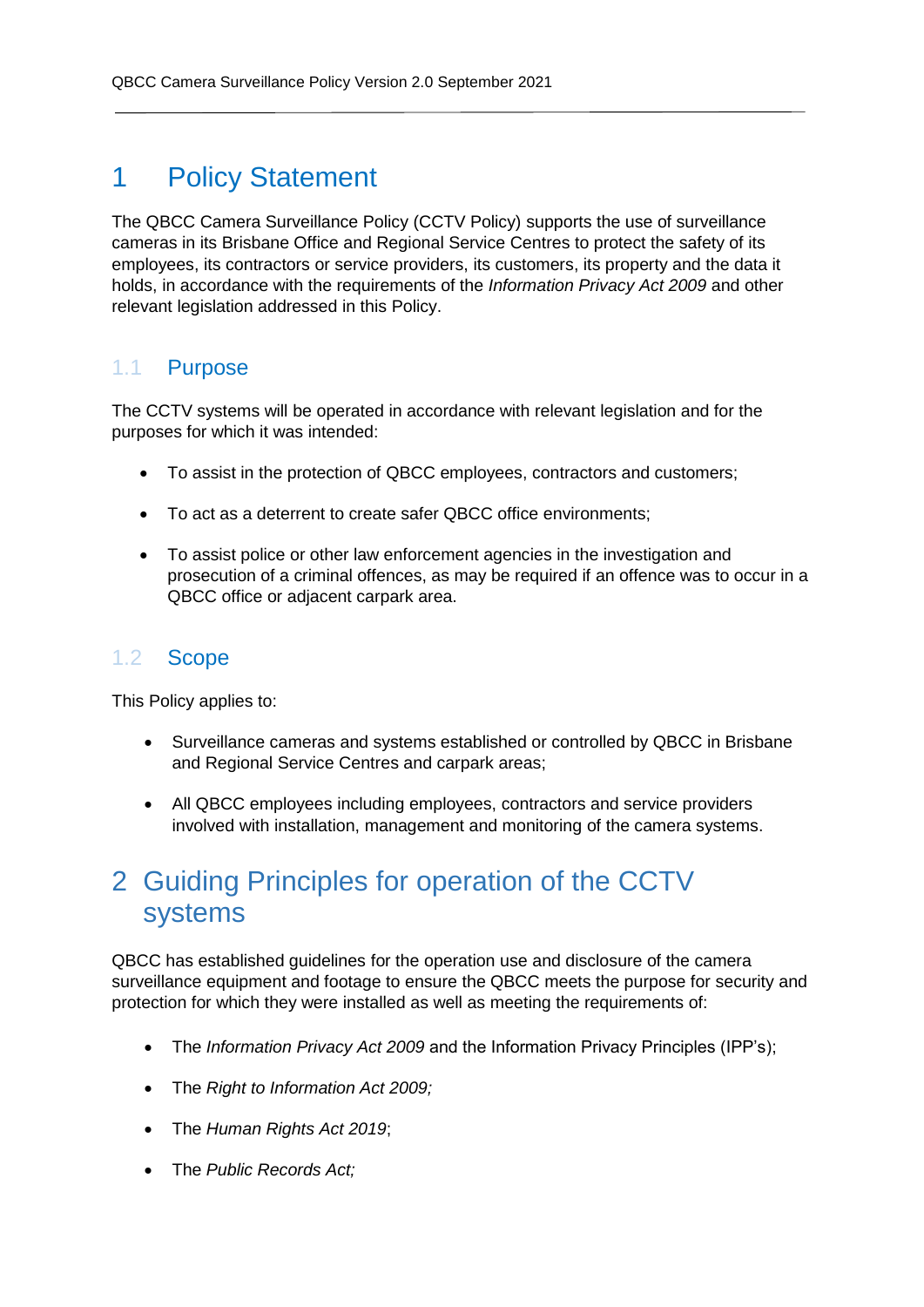## <span id="page-3-0"></span>1 Policy Statement

The QBCC Camera Surveillance Policy (CCTV Policy) supports the use of surveillance cameras in its Brisbane Office and Regional Service Centres to protect the safety of its employees, its contractors or service providers, its customers, its property and the data it holds, in accordance with the requirements of the *Information Privacy Act 2009* and other relevant legislation addressed in this Policy.

#### <span id="page-3-1"></span>1.1 Purpose

The CCTV systems will be operated in accordance with relevant legislation and for the purposes for which it was intended:

- To assist in the protection of QBCC employees, contractors and customers;
- To act as a deterrent to create safer QBCC office environments:
- To assist police or other law enforcement agencies in the investigation and prosecution of a criminal offences, as may be required if an offence was to occur in a QBCC office or adjacent carpark area.

#### <span id="page-3-2"></span>1.2 Scope

This Policy applies to:

- Surveillance cameras and systems established or controlled by QBCC in Brisbane and Regional Service Centres and carpark areas;
- All QBCC employees including employees, contractors and service providers involved with installation, management and monitoring of the camera systems.

# <span id="page-3-3"></span>2 Guiding Principles for operation of the CCTV systems

QBCC has established guidelines for the operation use and disclosure of the camera surveillance equipment and footage to ensure the QBCC meets the purpose for security and protection for which they were installed as well as meeting the requirements of:

- The *Information Privacy Act 2009* and the Information Privacy Principles (IPP's);
- The *Right to Information Act 2009;*
- The *Human Rights Act 2019*;
- The *Public Records Act;*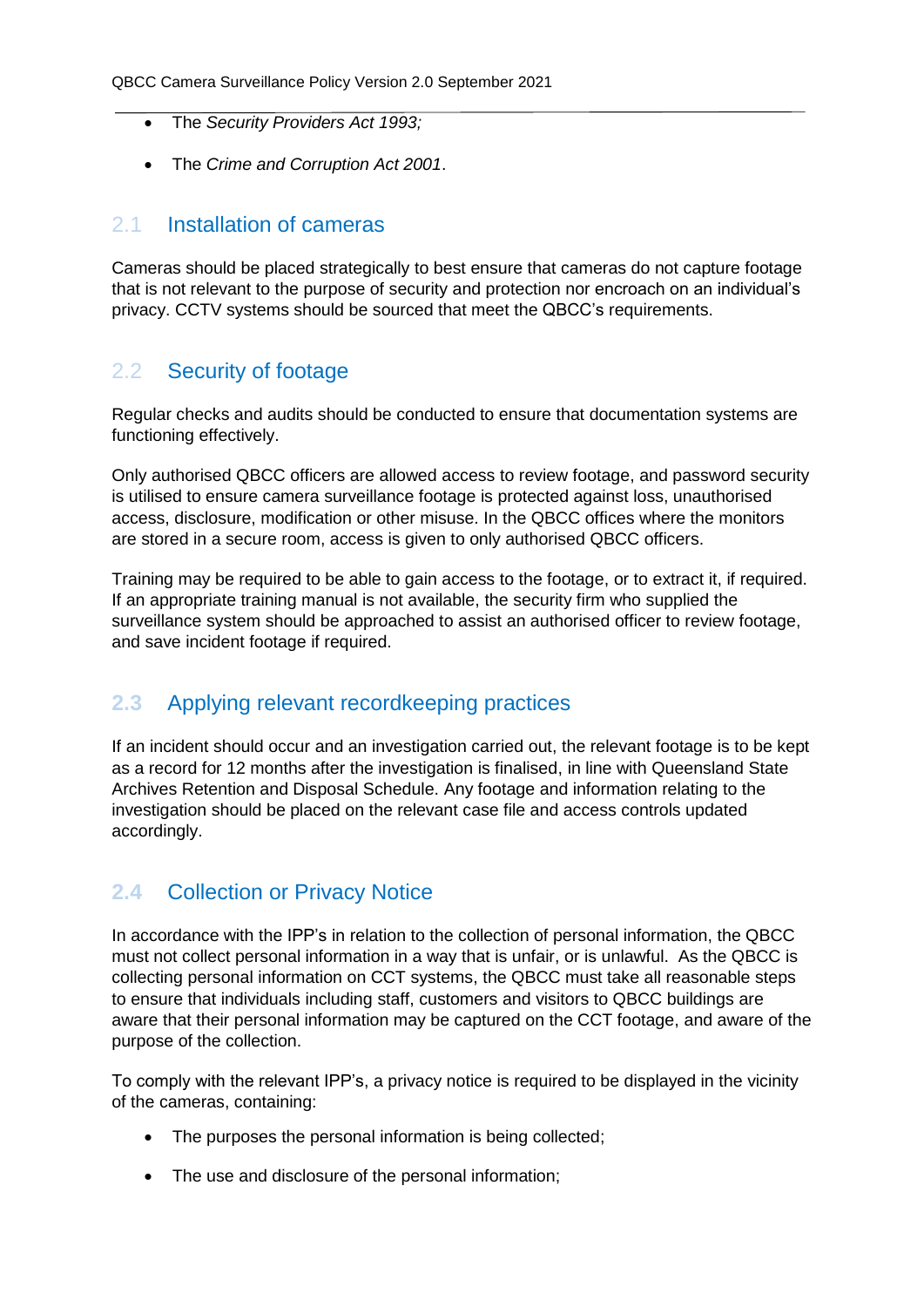- The *Security Providers Act 1993;*
- The *Crime and Corruption Act 2001*.

#### <span id="page-4-0"></span>2.1 Installation of cameras

Cameras should be placed strategically to best ensure that cameras do not capture footage that is not relevant to the purpose of security and protection nor encroach on an individual's privacy. CCTV systems should be sourced that meet the QBCC's requirements.

#### <span id="page-4-1"></span>2.2 Security of footage

Regular checks and audits should be conducted to ensure that documentation systems are functioning effectively.

Only authorised QBCC officers are allowed access to review footage, and password security is utilised to ensure camera surveillance footage is protected against loss, unauthorised access, disclosure, modification or other misuse. In the QBCC offices where the monitors are stored in a secure room, access is given to only authorised QBCC officers.

Training may be required to be able to gain access to the footage, or to extract it, if required. If an appropriate training manual is not available, the security firm who supplied the surveillance system should be approached to assist an authorised officer to review footage, and save incident footage if required.

#### <span id="page-4-2"></span>**2.3** Applying relevant recordkeeping practices

If an incident should occur and an investigation carried out, the relevant footage is to be kept as a record for 12 months after the investigation is finalised, in line with Queensland State Archives Retention and Disposal Schedule. Any footage and information relating to the investigation should be placed on the relevant case file and access controls updated accordingly.

#### <span id="page-4-3"></span>**2.4** Collection or Privacy Notice

In accordance with the IPP's in relation to the collection of personal information, the QBCC must not collect personal information in a way that is unfair, or is unlawful. As the QBCC is collecting personal information on CCT systems, the QBCC must take all reasonable steps to ensure that individuals including staff, customers and visitors to QBCC buildings are aware that their personal information may be captured on the CCT footage, and aware of the purpose of the collection.

To comply with the relevant IPP's, a privacy notice is required to be displayed in the vicinity of the cameras, containing:

- The purposes the personal information is being collected;
- The use and disclosure of the personal information;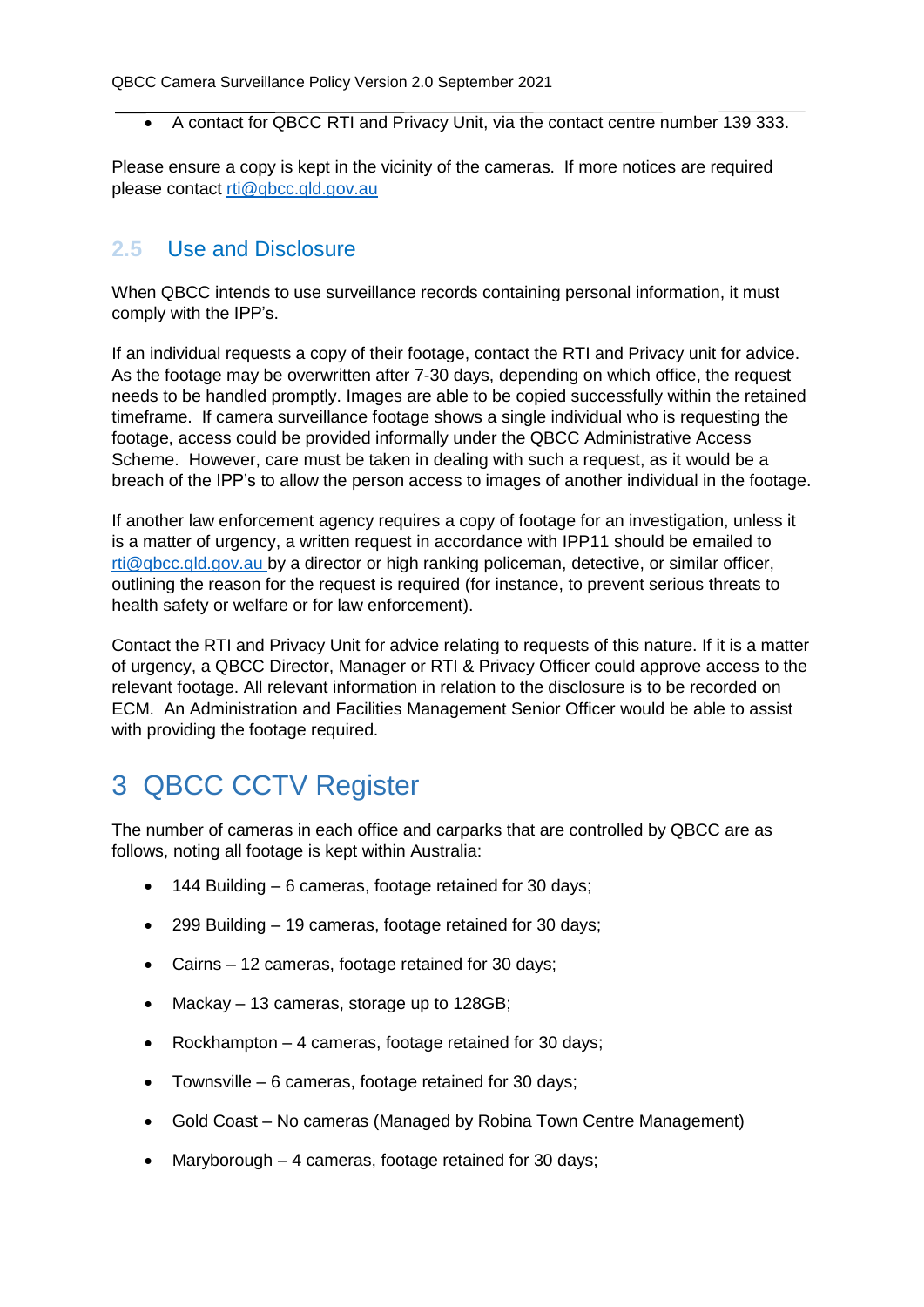A contact for QBCC RTI and Privacy Unit, via the contact centre number 139 333.

Please ensure a copy is kept in the vicinity of the cameras. If more notices are required please contact [rti@qbcc.qld.gov.au](mailto:rti@qbcc.qld.gov.au)

#### <span id="page-5-0"></span>**2.5** Use and Disclosure

When QBCC intends to use surveillance records containing personal information, it must comply with the IPP's.

If an individual requests a copy of their footage, contact the RTI and Privacy unit for advice. As the footage may be overwritten after 7-30 days, depending on which office, the request needs to be handled promptly. Images are able to be copied successfully within the retained timeframe. If camera surveillance footage shows a single individual who is requesting the footage, access could be provided informally under the QBCC Administrative Access Scheme. However, care must be taken in dealing with such a request, as it would be a breach of the IPP's to allow the person access to images of another individual in the footage.

If another law enforcement agency requires a copy of footage for an investigation, unless it is a matter of urgency, a written request in accordance with IPP11 should be emailed to [rti@qbcc.qld.gov.au](mailto:rti@qbcc.qld.gov.au) by a director or high ranking policeman, detective, or similar officer, outlining the reason for the request is required (for instance, to prevent serious threats to health safety or welfare or for law enforcement).

Contact the RTI and Privacy Unit for advice relating to requests of this nature. If it is a matter of urgency, a QBCC Director, Manager or RTI & Privacy Officer could approve access to the relevant footage. All relevant information in relation to the disclosure is to be recorded on ECM. An Administration and Facilities Management Senior Officer would be able to assist with providing the footage required.

# <span id="page-5-1"></span>3 QBCC CCTV Register

The number of cameras in each office and carparks that are controlled by QBCC are as follows, noting all footage is kept within Australia:

- 144 Building 6 cameras, footage retained for 30 days;
- 299 Building 19 cameras, footage retained for 30 days;
- Cairns 12 cameras, footage retained for 30 days;
- Mackay 13 cameras, storage up to 128GB;
- Rockhampton 4 cameras, footage retained for 30 days;
- Townsville 6 cameras, footage retained for 30 days;
- Gold Coast No cameras (Managed by Robina Town Centre Management)
- Maryborough 4 cameras, footage retained for 30 days;